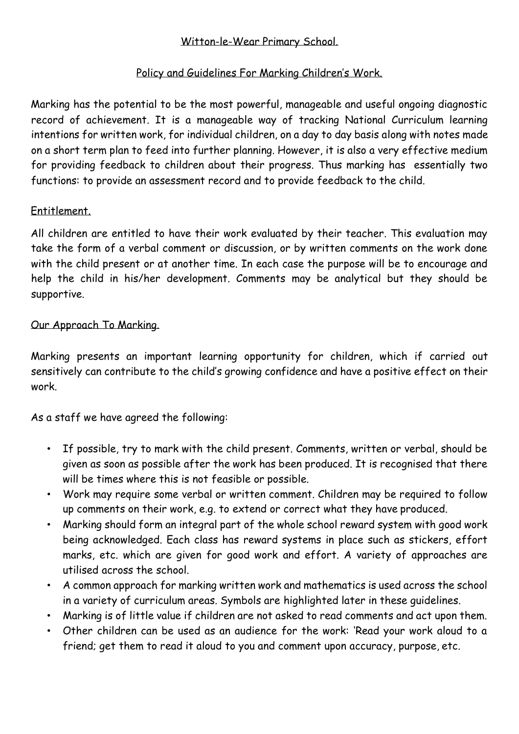# Witton-le-Wear Primary School.

# Policy and Guidelines For Marking Children's Work.

Marking has the potential to be the most powerful, manageable and useful ongoing diagnostic record of achievement. It is a manageable way of tracking National Curriculum learning intentions for written work, for individual children, on a day to day basis along with notes made on a short term plan to feed into further planning. However, it is also a very effective medium for providing feedback to children about their progress. Thus marking has essentially two functions: to provide an assessment record and to provide feedback to the child.

#### Entitlement.

All children are entitled to have their work evaluated by their teacher. This evaluation may take the form of a verbal comment or discussion, or by written comments on the work done with the child present or at another time. In each case the purpose will be to encourage and help the child in his/her development. Comments may be analytical but they should be supportive.

#### Our Approach To Marking.

Marking presents an important learning opportunity for children, which if carried out sensitively can contribute to the child's growing confidence and have a positive effect on their work.

As a staff we have agreed the following:

- If possible, try to mark with the child present. Comments, written or verbal, should be given as soon as possible after the work has been produced. It is recognised that there will be times where this is not feasible or possible.
- Work may require some verbal or written comment. Children may be required to follow up comments on their work, e.g. to extend or correct what they have produced.
- Marking should form an integral part of the whole school reward system with good work being acknowledged. Each class has reward systems in place such as stickers, effort marks, etc. which are given for good work and effort. A variety of approaches are utilised across the school.
- A common approach for marking written work and mathematics is used across the school in a variety of curriculum areas. Symbols are highlighted later in these guidelines.
- Marking is of little value if children are not asked to read comments and act upon them.
- Other children can be used as an audience for the work: 'Read your work aloud to a friend; get them to read it aloud to you and comment upon accuracy, purpose, etc.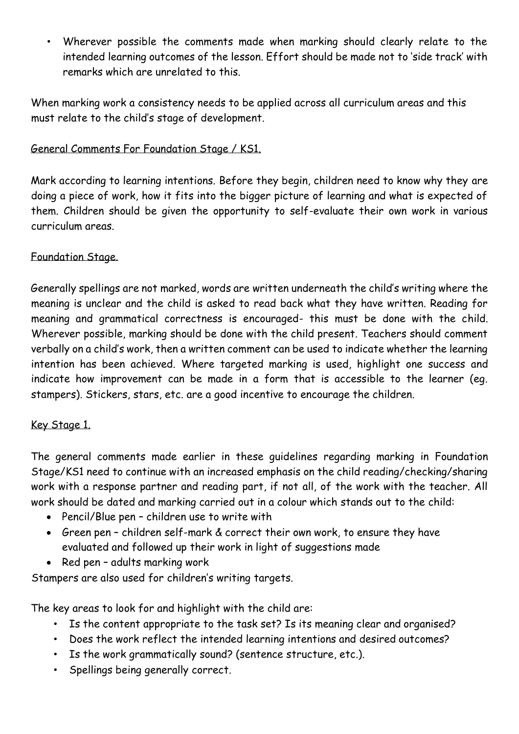• Wherever possible the comments made when marking should clearly relate to the intended learning outcomes of the lesson. Effort should be made not to 'side track' with remarks which are unrelated to this.

When marking work a consistency needs to be applied across all curriculum areas and this must relate to the child's stage of development.

### General Comments For Foundation Stage / KS1.

Mark according to learning intentions. Before they begin, children need to know why they are doing a piece of work, how it fits into the bigger picture of learning and what is expected of them. Children should be given the opportunity to self-evaluate their own work in various curriculum areas.

#### Foundation Stage.

Generally spellings are not marked, words are written underneath the child's writing where the meaning is unclear and the child is asked to read back what they have written. Reading for meaning and grammatical correctness is encouraged- this must be done with the child. Wherever possible, marking should be done with the child present. Teachers should comment verbally on a child's work, then a written comment can be used to indicate whether the learning intention has been achieved. Where targeted marking is used, highlight one success and indicate how improvement can be made in a form that is accessible to the learner (eg. stampers). Stickers, stars, etc. are a good incentive to encourage the children.

### Key Stage 1.

The general comments made earlier in these guidelines regarding marking in Foundation Stage/KS1 need to continue with an increased emphasis on the child reading/checking/sharing work with a response partner and reading part, if not all, of the work with the teacher. All work should be dated and marking carried out in a colour which stands out to the child:

- Pencil/Blue pen children use to write with
- Green pen children self-mark & correct their own work, to ensure they have evaluated and followed up their work in light of suggestions made
- Red pen adults marking work

Stampers are also used for children's writing targets.

The key areas to look for and highlight with the child are:

- Is the content appropriate to the task set? Is its meaning clear and organised?
- Does the work reflect the intended learning intentions and desired outcomes?
- Is the work grammatically sound? (sentence structure, etc.).
- Spellings being generally correct.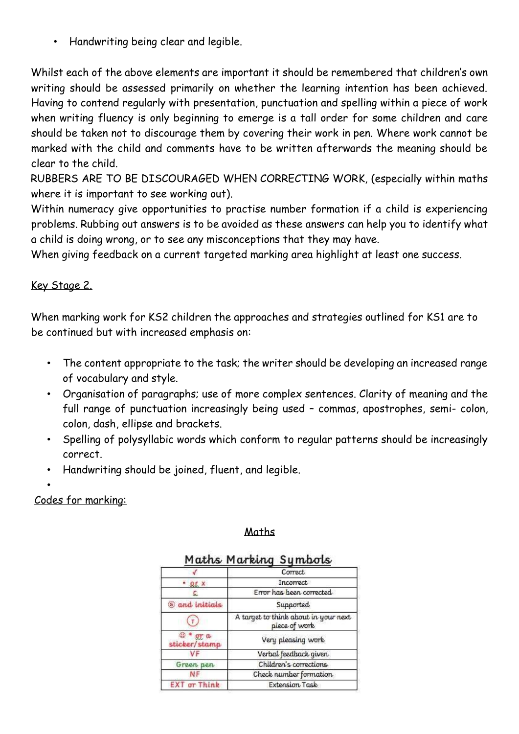• Handwriting being clear and legible.

Whilst each of the above elements are important it should be remembered that children's own writing should be assessed primarily on whether the learning intention has been achieved. Having to contend regularly with presentation, punctuation and spelling within a piece of work when writing fluency is only beginning to emerge is a tall order for some children and care should be taken not to discourage them by covering their work in pen. Where work cannot be marked with the child and comments have to be written afterwards the meaning should be clear to the child.

RUBBERS ARE TO BE DISCOURAGED WHEN CORRECTING WORK, (especially within maths where it is important to see working out).

Within numeracy give opportunities to practise number formation if a child is experiencing problems. Rubbing out answers is to be avoided as these answers can help you to identify what a child is doing wrong, or to see any misconceptions that they may have.

When giving feedback on a current targeted marking area highlight at least one success.

### Key Stage 2.

When marking work for KS2 children the approaches and strategies outlined for KS1 are to be continued but with increased emphasis on:

- The content appropriate to the task; the writer should be developing an increased range of vocabulary and style.
- Organisation of paragraphs; use of more complex sentences. Clarity of meaning and the full range of punctuation increasingly being used – commas, apostrophes, semi- colon, colon, dash, ellipse and brackets.
- Spelling of polysyllabic words which conform to regular patterns should be increasingly correct.
- Handwriting should be joined, fluent, and legible.

•

Codes for marking:

### Maths

# Maths Marking Sumbols

|                                                      | Correct                                               |  |
|------------------------------------------------------|-------------------------------------------------------|--|
| x, y                                                 | Incorrect                                             |  |
|                                                      | Error has been corrected                              |  |
| <b>S</b> and initials                                | Supported.                                            |  |
|                                                      | A target to think about in your next<br>piece of work |  |
| $\mathcal{L}_{\mathcal{L}}$<br>or a<br>sticker/stamp | Very pleasing work                                    |  |
|                                                      | Verbal feedback given                                 |  |
| Green pen                                            | Children's corrections                                |  |
|                                                      | Check number formation                                |  |
| <b>EXT or Think</b>                                  | Extension Task                                        |  |
|                                                      |                                                       |  |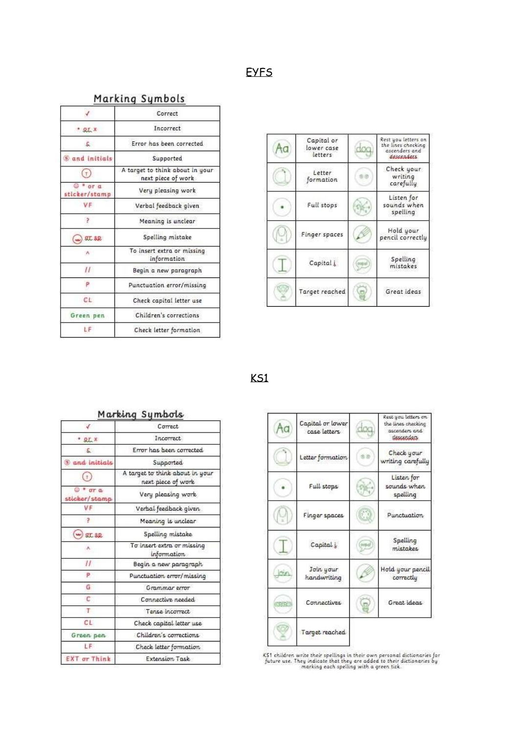#### **EYFS**

# Marking Symbols

| Correct                                               |  |
|-------------------------------------------------------|--|
| Incorrect                                             |  |
| Error has been corrected                              |  |
| Supported                                             |  |
| A target to think about in your<br>next piece of work |  |
| Very pleasing work                                    |  |
| Verbal feedback given                                 |  |
| Meaning is unclear                                    |  |
| Spelling mistake                                      |  |
| To insert extra or missing<br>information             |  |
| Begin a new paragraph                                 |  |
| Punctuation error/missing                             |  |
| Check capital letter use                              |  |
| Children's corrections                                |  |
| Check letter formation                                |  |
|                                                       |  |

| ia | Capital or<br>lower case<br>letters | Rest you letters on<br>the lines checking<br>ascenders and<br>descenders |
|----|-------------------------------------|--------------------------------------------------------------------------|
|    | Letter<br>formation                 | Check your<br>writing<br>carefully                                       |
|    | Full stops                          | Listen for<br>sounds when<br>spelling                                    |
|    | Finger spaces                       | Hold your<br>pencil correctly                                            |
|    | Capital i                           | Spelling<br>mistakes                                                     |
|    | Target reached                      | Great ideas                                                              |

# $K<sub>S1</sub>$

| J                                               | Correct                                               |
|-------------------------------------------------|-------------------------------------------------------|
| $9L$ $\times$                                   | Incorrect                                             |
| S.                                              | Error has been corrected                              |
| <b>S</b> and initials                           | Supported                                             |
|                                                 | A target to think about in your<br>next piece of work |
| $\omega$ .<br>0.7 <sub>0</sub><br>sticker/stamp | Very pleasing work                                    |
|                                                 | Verbal feedback given                                 |
|                                                 | Meaning is unclear                                    |
| (se<br>S.C. & R.                                | Spelling mistake                                      |
| A.                                              | To insert extra or missing<br>information             |
| П                                               | Begin a new paragraph                                 |
| P                                               | Punctuation error/missing                             |
| G                                               | Grammar error                                         |
| c                                               | Connective needed                                     |
| T.                                              | Tense incorrect                                       |
| CL.                                             | Check capital letter use                              |
| Green pen                                       | Children's corrections.                               |
| LF:                                             | Check letter formation.                               |
| <b>EXT</b> or Think                             | Extension Task                                        |

| Aa           | Capital or lower<br>case letters | too          | Rest you letters on<br>the lines checking<br>ascenders and<br>descanders |
|--------------|----------------------------------|--------------|--------------------------------------------------------------------------|
|              | Letter formation                 |              | Check your<br>writing carefully                                          |
|              | Full stops                       |              | Listen for<br>sounds when<br>spelling                                    |
|              | Finger spaces                    | $\mathbb{C}$ | Punctuation                                                              |
|              | Capital i                        |              | Spelling<br>mistakes                                                     |
| riin         | Join your<br>handwriting         |              | Hold your pencil<br>correctly                                            |
| <b>PERED</b> | Connectives                      |              | Great ideas                                                              |
|              | Target reached                   |              |                                                                          |

KS1 children write their spellings in their own personal dictionaries for future use. They indicate that they are added to their dictionaries by marking each spelling with a green tick.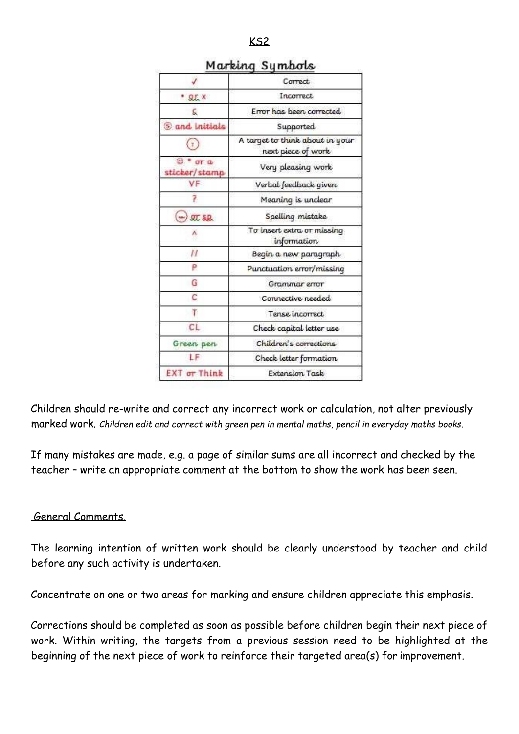|                                                    | Correct                                               |  |
|----------------------------------------------------|-------------------------------------------------------|--|
| 9LX                                                | Incorrect                                             |  |
| c                                                  | Error has been corrected                              |  |
| <b>S</b> and initials                              | Supported                                             |  |
|                                                    | A target to think about in your<br>next piece of work |  |
| $T$ <sub><math>T</math></sub> $T$<br>sticker/stamp | Very pleasing work                                    |  |
|                                                    | Verbal feedback given                                 |  |
|                                                    | Meaning is unclear                                    |  |
| $(\infty)$ at sp.                                  | Spelling mistake                                      |  |
|                                                    | To insert extra or missing<br>information             |  |
| П                                                  | Begin a new paragraph                                 |  |
| ρ                                                  | Punctuation error/missing                             |  |
| G                                                  | Grammar error                                         |  |
| C                                                  | Connective needed                                     |  |
| т                                                  | Tense incorrect                                       |  |
| CL                                                 | Check capital letter use                              |  |
| Green pen                                          | Children's corrections                                |  |
| LF                                                 | Check letter formation                                |  |
| <b>EXT</b> or Think                                | Extension Task                                        |  |

# Marking Sumbols

Children should re-write and correct any incorrect work or calculation, not alter previously marked work. *Children edit and correct with green pen in mental maths, pencil in everyday maths books.*

If many mistakes are made, e.g. a page of similar sums are all incorrect and checked by the teacher – write an appropriate comment at the bottom to show the work has been seen.

#### General Comments.

The learning intention of written work should be clearly understood by teacher and child before any such activity is undertaken.

Concentrate on one or two areas for marking and ensure children appreciate this emphasis.

Corrections should be completed as soon as possible before children begin their next piece of work. Within writing, the targets from a previous session need to be highlighted at the beginning of the next piece of work to reinforce their targeted area(s) for improvement.